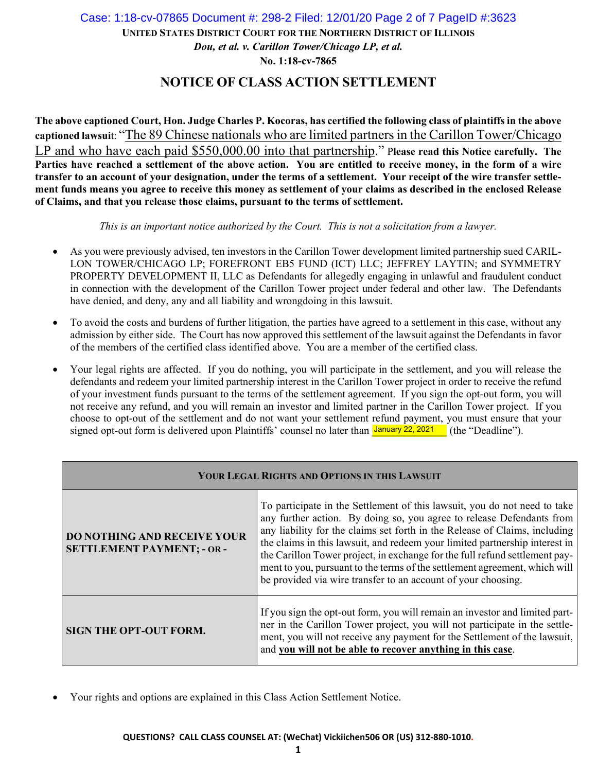## **UNITED STATES DISTRICT COURT FOR THE NORTHERN DISTRICT OF ILLINOIS** *Dou, et al. v. Carillon Tower/Chicago LP, et al.*  **No. 1:18-cv-7865** Case: 1:18-cv-07865 Document #: 298-2 Filed: 12/01/20 Page 2 of 7 PageID #:3623

## **NOTICE OF CLASS ACTION SETTLEMENT**

**The above captioned Court, Hon. Judge Charles P. Kocoras, has certified the following class of plaintiffs in the above captioned lawsui**t: "The 89 Chinese nationals who are limited partners in the Carillon Tower/Chicago LP and who have each paid \$550,000.00 into that partnership." P**lease read this Notice carefully. The**  Parties have reached a settlement of the above action. You are entitled to receive money, in the form of a wire **transfer to an account of your designation, under the terms of a settlement. Your receipt of the wire transfer settlement funds means you agree to receive this money as settlement of your claims as described in the enclosed Release of Claims, and that you release those claims, pursuant to the terms of settlement.** 

*This is an important notice authorized by the Court. This is not a solicitation from a lawyer.*

- As you were previously advised, ten investors in the Carillon Tower development limited partnership sued CARIL-LON TOWER/CHICAGO LP; FOREFRONT EB5 FUND (ICT) LLC; JEFFREY LAYTIN; and SYMMETRY PROPERTY DEVELOPMENT II, LLC as Defendants for allegedly engaging in unlawful and fraudulent conduct in connection with the development of the Carillon Tower project under federal and other law. The Defendants have denied, and deny, any and all liability and wrongdoing in this lawsuit.
- To avoid the costs and burdens of further litigation, the parties have agreed to a settlement in this case, without any admission by either side. The Court has now approved this settlement of the lawsuit against the Defendants in favor of the members of the certified class identified above. You are a member of the certified class.
- Your legal rights are affected. If you do nothing, you will participate in the settlement, and you will release the defendants and redeem your limited partnership interest in the Carillon Tower project in order to receive the refund of your investment funds pursuant to the terms of the settlement agreement. If you sign the opt-out form, you will not receive any refund, and you will remain an investor and limited partner in the Carillon Tower project. If you choose to opt-out of the settlement and do not want your settlement refund payment, you must ensure that your signed opt-out form is delivered upon Plaintiffs' counsel no later than *January 22, 2021* (the "Deadline").

| YOUR LEGAL RIGHTS AND OPTIONS IN THIS LAWSUIT                           |                                                                                                                                                                                                                                                                                                                                                                                                                                                                                                                                               |
|-------------------------------------------------------------------------|-----------------------------------------------------------------------------------------------------------------------------------------------------------------------------------------------------------------------------------------------------------------------------------------------------------------------------------------------------------------------------------------------------------------------------------------------------------------------------------------------------------------------------------------------|
| <b>DO NOTHING AND RECEIVE YOUR</b><br><b>SETTLEMENT PAYMENT; - OR -</b> | To participate in the Settlement of this lawsuit, you do not need to take<br>any further action. By doing so, you agree to release Defendants from<br>any liability for the claims set forth in the Release of Claims, including<br>the claims in this lawsuit, and redeem your limited partnership interest in<br>the Carillon Tower project, in exchange for the full refund settlement pay-<br>ment to you, pursuant to the terms of the settlement agreement, which will<br>be provided via wire transfer to an account of your choosing. |
| <b>SIGN THE OPT-OUT FORM.</b>                                           | If you sign the opt-out form, you will remain an investor and limited part-<br>ner in the Carillon Tower project, you will not participate in the settle-<br>ment, you will not receive any payment for the Settlement of the lawsuit,<br>and you will not be able to recover anything in this case.                                                                                                                                                                                                                                          |

Your rights and options are explained in this Class Action Settlement Notice.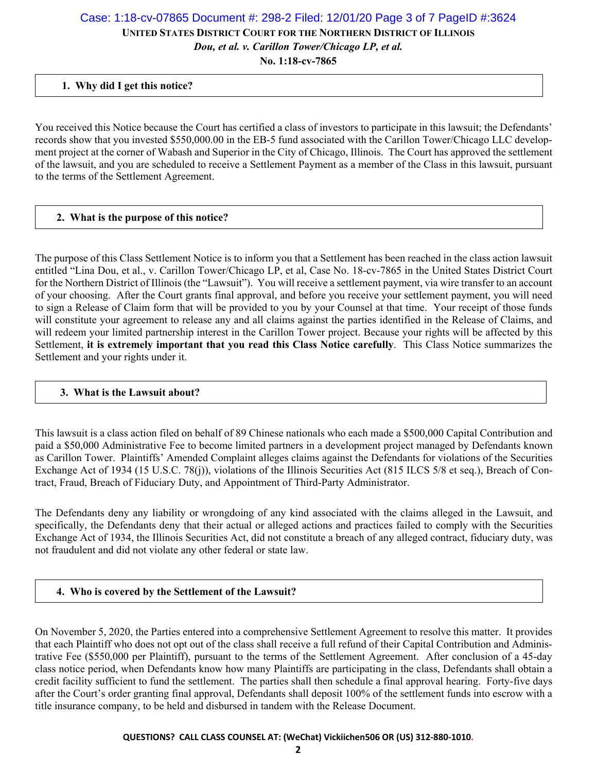## **UNITED STATES DISTRICT COURT FOR THE NORTHERN DISTRICT OF ILLINOIS** *Dou, et al. v. Carillon Tower/Chicago LP, et al.*  Case: 1:18-cv-07865 Document #: 298-2 Filed: 12/01/20 Page 3 of 7 PageID #:3624

**No. 1:18-cv-7865**

### **1. Why did I get this notice?**

You received this Notice because the Court has certified a class of investors to participate in this lawsuit; the Defendants' records show that you invested \$550,000.00 in the EB-5 fund associated with the Carillon Tower/Chicago LLC development project at the corner of Wabash and Superior in the City of Chicago, Illinois. The Court has approved the settlement of the lawsuit, and you are scheduled to receive a Settlement Payment as a member of the Class in this lawsuit, pursuant to the terms of the Settlement Agreement.

#### **2. What is the purpose of this notice?**

The purpose of this Class Settlement Notice is to inform you that a Settlement has been reached in the class action lawsuit entitled "Lina Dou, et al., v. Carillon Tower/Chicago LP, et al, Case No. 18-cv-7865 in the United States District Court for the Northern District of Illinois (the "Lawsuit"). You will receive a settlement payment, via wire transfer to an account of your choosing. After the Court grants final approval, and before you receive your settlement payment, you will need to sign a Release of Claim form that will be provided to you by your Counsel at that time. Your receipt of those funds will constitute your agreement to release any and all claims against the parties identified in the Release of Claims, and will redeem your limited partnership interest in the Carillon Tower project. Because your rights will be affected by this Settlement, **it is extremely important that you read this Class Notice carefully**. This Class Notice summarizes the Settlement and your rights under it.

#### **3. What is the Lawsuit about?**

This lawsuit is a class action filed on behalf of 89 Chinese nationals who each made a \$500,000 Capital Contribution and paid a \$50,000 Administrative Fee to become limited partners in a development project managed by Defendants known as Carillon Tower. Plaintiffs' Amended Complaint alleges claims against the Defendants for violations of the Securities Exchange Act of 1934 (15 U.S.C. 78(j)), violations of the Illinois Securities Act (815 ILCS 5/8 et seq.), Breach of Contract, Fraud, Breach of Fiduciary Duty, and Appointment of Third-Party Administrator.

The Defendants deny any liability or wrongdoing of any kind associated with the claims alleged in the Lawsuit, and specifically, the Defendants deny that their actual or alleged actions and practices failed to comply with the Securities Exchange Act of 1934, the Illinois Securities Act, did not constitute a breach of any alleged contract, fiduciary duty, was not fraudulent and did not violate any other federal or state law.

#### **4. Who is covered by the Settlement of the Lawsuit?**

On November 5, 2020, the Parties entered into a comprehensive Settlement Agreement to resolve this matter. It provides that each Plaintiff who does not opt out of the class shall receive a full refund of their Capital Contribution and Administrative Fee (\$550,000 per Plaintiff), pursuant to the terms of the Settlement Agreement. After conclusion of a 45-day class notice period, when Defendants know how many Plaintiffs are participating in the class, Defendants shall obtain a credit facility sufficient to fund the settlement. The parties shall then schedule a final approval hearing. Forty-five days after the Court's order granting final approval, Defendants shall deposit 100% of the settlement funds into escrow with a title insurance company, to be held and disbursed in tandem with the Release Document.

#### **QUESTIONS? CALL CLASS COUNSEL AT: (WeChat) Vickiichen506 OR (US) 312‐880‐1010.**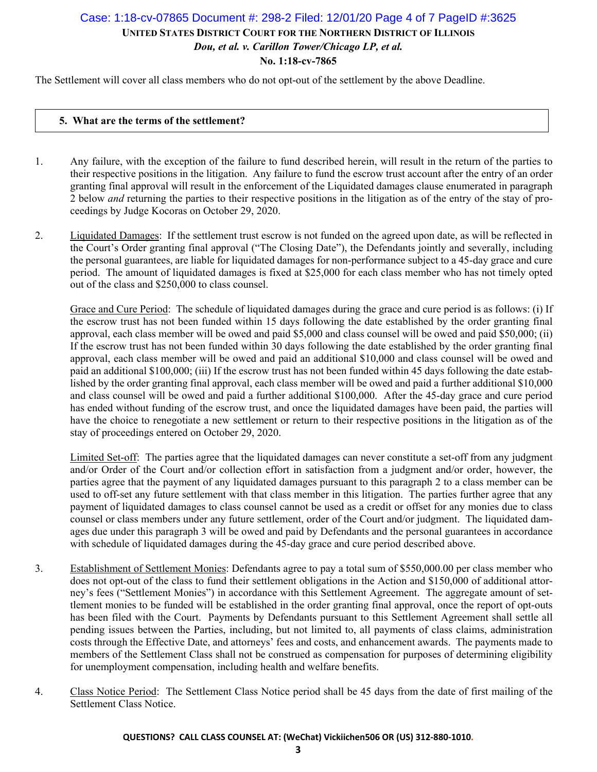## **UNITED STATES DISTRICT COURT FOR THE NORTHERN DISTRICT OF ILLINOIS** *Dou, et al. v. Carillon Tower/Chicago LP, et al.*  **No. 1:18-cv-7865** Case: 1:18-cv-07865 Document #: 298-2 Filed: 12/01/20 Page 4 of 7 PageID #:3625

The Settlement will cover all class members who do not opt-out of the settlement by the above Deadline.

#### **5. What are the terms of the settlement?**

- 1. Any failure, with the exception of the failure to fund described herein, will result in the return of the parties to their respective positions in the litigation. Any failure to fund the escrow trust account after the entry of an order granting final approval will result in the enforcement of the Liquidated damages clause enumerated in paragraph 2 below *and* returning the parties to their respective positions in the litigation as of the entry of the stay of proceedings by Judge Kocoras on October 29, 2020.
- 2. Liquidated Damages: If the settlement trust escrow is not funded on the agreed upon date, as will be reflected in the Court's Order granting final approval ("The Closing Date"), the Defendants jointly and severally, including the personal guarantees, are liable for liquidated damages for non-performance subject to a 45-day grace and cure period. The amount of liquidated damages is fixed at \$25,000 for each class member who has not timely opted out of the class and \$250,000 to class counsel.

Grace and Cure Period: The schedule of liquidated damages during the grace and cure period is as follows: (i) If the escrow trust has not been funded within 15 days following the date established by the order granting final approval, each class member will be owed and paid \$5,000 and class counsel will be owed and paid \$50,000; (ii) If the escrow trust has not been funded within 30 days following the date established by the order granting final approval, each class member will be owed and paid an additional \$10,000 and class counsel will be owed and paid an additional \$100,000; (iii) If the escrow trust has not been funded within 45 days following the date established by the order granting final approval, each class member will be owed and paid a further additional \$10,000 and class counsel will be owed and paid a further additional \$100,000. After the 45-day grace and cure period has ended without funding of the escrow trust, and once the liquidated damages have been paid, the parties will have the choice to renegotiate a new settlement or return to their respective positions in the litigation as of the stay of proceedings entered on October 29, 2020.

Limited Set-off: The parties agree that the liquidated damages can never constitute a set-off from any judgment and/or Order of the Court and/or collection effort in satisfaction from a judgment and/or order, however, the parties agree that the payment of any liquidated damages pursuant to this paragraph 2 to a class member can be used to off-set any future settlement with that class member in this litigation. The parties further agree that any payment of liquidated damages to class counsel cannot be used as a credit or offset for any monies due to class counsel or class members under any future settlement, order of the Court and/or judgment. The liquidated damages due under this paragraph 3 will be owed and paid by Defendants and the personal guarantees in accordance with schedule of liquidated damages during the 45-day grace and cure period described above.

- 3. Establishment of Settlement Monies: Defendants agree to pay a total sum of \$550,000.00 per class member who does not opt-out of the class to fund their settlement obligations in the Action and \$150,000 of additional attorney's fees ("Settlement Monies") in accordance with this Settlement Agreement. The aggregate amount of settlement monies to be funded will be established in the order granting final approval, once the report of opt-outs has been filed with the Court. Payments by Defendants pursuant to this Settlement Agreement shall settle all pending issues between the Parties, including, but not limited to, all payments of class claims, administration costs through the Effective Date, and attorneys' fees and costs, and enhancement awards. The payments made to members of the Settlement Class shall not be construed as compensation for purposes of determining eligibility for unemployment compensation, including health and welfare benefits.
- 4. Class Notice Period: The Settlement Class Notice period shall be 45 days from the date of first mailing of the Settlement Class Notice.

#### **QUESTIONS? CALL CLASS COUNSEL AT: (WeChat) Vickiichen506 OR (US) 312‐880‐1010.**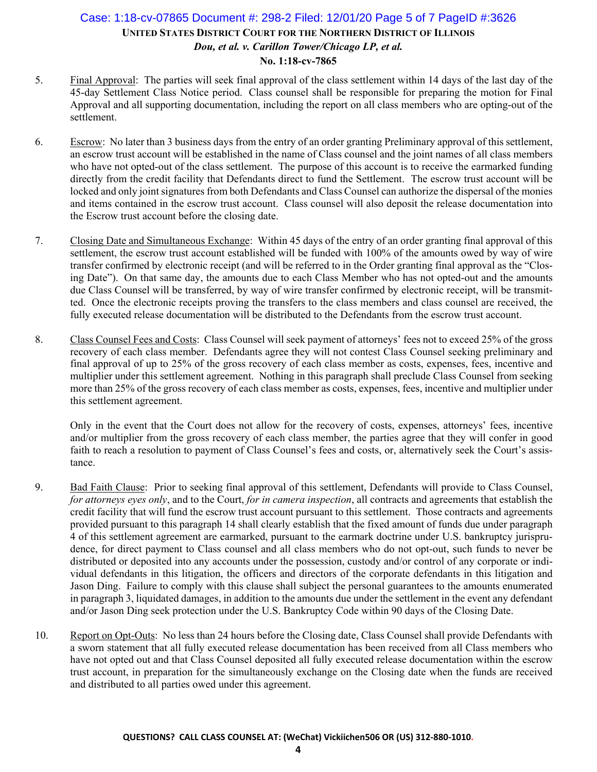## **UNITED STATES DISTRICT COURT FOR THE NORTHERN DISTRICT OF ILLINOIS** *Dou, et al. v. Carillon Tower/Chicago LP, et al.*  **No. 1:18-cv-7865** Case: 1:18-cv-07865 Document #: 298-2 Filed: 12/01/20 Page 5 of 7 PageID #:3626

- 5. Final Approval: The parties will seek final approval of the class settlement within 14 days of the last day of the 45-day Settlement Class Notice period. Class counsel shall be responsible for preparing the motion for Final Approval and all supporting documentation, including the report on all class members who are opting-out of the settlement.
- 6. Escrow: No later than 3 business days from the entry of an order granting Preliminary approval of this settlement, an escrow trust account will be established in the name of Class counsel and the joint names of all class members who have not opted-out of the class settlement. The purpose of this account is to receive the earmarked funding directly from the credit facility that Defendants direct to fund the Settlement. The escrow trust account will be locked and only joint signatures from both Defendants and Class Counsel can authorize the dispersal of the monies and items contained in the escrow trust account. Class counsel will also deposit the release documentation into the Escrow trust account before the closing date.
- 7. Closing Date and Simultaneous Exchange: Within 45 days of the entry of an order granting final approval of this settlement, the escrow trust account established will be funded with 100% of the amounts owed by way of wire transfer confirmed by electronic receipt (and will be referred to in the Order granting final approval as the "Closing Date"). On that same day, the amounts due to each Class Member who has not opted-out and the amounts due Class Counsel will be transferred, by way of wire transfer confirmed by electronic receipt, will be transmitted. Once the electronic receipts proving the transfers to the class members and class counsel are received, the fully executed release documentation will be distributed to the Defendants from the escrow trust account.
- 8. Class Counsel Fees and Costs: Class Counsel will seek payment of attorneys' fees not to exceed 25% of the gross recovery of each class member. Defendants agree they will not contest Class Counsel seeking preliminary and final approval of up to 25% of the gross recovery of each class member as costs, expenses, fees, incentive and multiplier under this settlement agreement. Nothing in this paragraph shall preclude Class Counsel from seeking more than 25% of the gross recovery of each class member as costs, expenses, fees, incentive and multiplier under this settlement agreement.

Only in the event that the Court does not allow for the recovery of costs, expenses, attorneys' fees, incentive and/or multiplier from the gross recovery of each class member, the parties agree that they will confer in good faith to reach a resolution to payment of Class Counsel's fees and costs, or, alternatively seek the Court's assistance.

- 9. Bad Faith Clause: Prior to seeking final approval of this settlement, Defendants will provide to Class Counsel, *for attorneys eyes only*, and to the Court, *for in camera inspection*, all contracts and agreements that establish the credit facility that will fund the escrow trust account pursuant to this settlement. Those contracts and agreements provided pursuant to this paragraph 14 shall clearly establish that the fixed amount of funds due under paragraph 4 of this settlement agreement are earmarked, pursuant to the earmark doctrine under U.S. bankruptcy jurisprudence, for direct payment to Class counsel and all class members who do not opt-out, such funds to never be distributed or deposited into any accounts under the possession, custody and/or control of any corporate or individual defendants in this litigation, the officers and directors of the corporate defendants in this litigation and Jason Ding. Failure to comply with this clause shall subject the personal guarantees to the amounts enumerated in paragraph 3, liquidated damages, in addition to the amounts due under the settlement in the event any defendant and/or Jason Ding seek protection under the U.S. Bankruptcy Code within 90 days of the Closing Date.
- 10. Report on Opt-Outs: No less than 24 hours before the Closing date, Class Counsel shall provide Defendants with a sworn statement that all fully executed release documentation has been received from all Class members who have not opted out and that Class Counsel deposited all fully executed release documentation within the escrow trust account, in preparation for the simultaneously exchange on the Closing date when the funds are received and distributed to all parties owed under this agreement.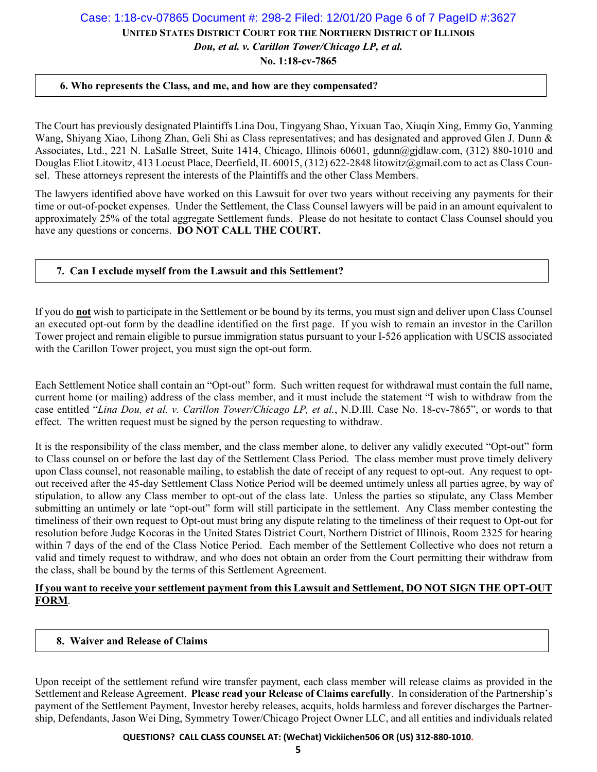# **UNITED STATES DISTRICT COURT FOR THE NORTHERN DISTRICT OF ILLINOIS** Case: 1:18-cv-07865 Document #: 298-2 Filed: 12/01/20 Page 6 of 7 PageID #:3627

*Dou, et al. v. Carillon Tower/Chicago LP, et al.* 

**No. 1:18-cv-7865**

### **6. Who represents the Class, and me, and how are they compensated?**

The Court has previously designated Plaintiffs Lina Dou, Tingyang Shao, Yixuan Tao, Xiuqin Xing, Emmy Go, Yanming Wang, Shiyang Xiao, Lihong Zhan, Geli Shi as Class representatives; and has designated and approved Glen J. Dunn & Associates, Ltd., 221 N. LaSalle Street, Suite 1414, Chicago, Illinois 60601, gdunn@gjdlaw.com, (312) 880-1010 and Douglas Eliot Litowitz, 413 Locust Place, Deerfield, IL 60015, (312) 622-2848 litowitz@gmail.com to act as Class Counsel. These attorneys represent the interests of the Plaintiffs and the other Class Members.

The lawyers identified above have worked on this Lawsuit for over two years without receiving any payments for their time or out-of-pocket expenses. Under the Settlement, the Class Counsel lawyers will be paid in an amount equivalent to approximately 25% of the total aggregate Settlement funds. Please do not hesitate to contact Class Counsel should you have any questions or concerns. **DO NOT CALL THE COURT.**

### **7. Can I exclude myself from the Lawsuit and this Settlement?**

If you do **not** wish to participate in the Settlement or be bound by its terms, you must sign and deliver upon Class Counsel an executed opt-out form by the deadline identified on the first page. If you wish to remain an investor in the Carillon Tower project and remain eligible to pursue immigration status pursuant to your I-526 application with USCIS associated with the Carillon Tower project, you must sign the opt-out form.

Each Settlement Notice shall contain an "Opt-out" form. Such written request for withdrawal must contain the full name, current home (or mailing) address of the class member, and it must include the statement "I wish to withdraw from the case entitled "*Lina Dou, et al. v. Carillon Tower/Chicago LP, et al.*, N.D.Ill. Case No. 18-cv-7865", or words to that effect. The written request must be signed by the person requesting to withdraw.

It is the responsibility of the class member, and the class member alone, to deliver any validly executed "Opt-out" form to Class counsel on or before the last day of the Settlement Class Period. The class member must prove timely delivery upon Class counsel, not reasonable mailing, to establish the date of receipt of any request to opt-out. Any request to optout received after the 45-day Settlement Class Notice Period will be deemed untimely unless all parties agree, by way of stipulation, to allow any Class member to opt-out of the class late. Unless the parties so stipulate, any Class Member submitting an untimely or late "opt-out" form will still participate in the settlement. Any Class member contesting the timeliness of their own request to Opt-out must bring any dispute relating to the timeliness of their request to Opt-out for resolution before Judge Kocoras in the United States District Court, Northern District of Illinois, Room 2325 for hearing within 7 days of the end of the Class Notice Period. Each member of the Settlement Collective who does not return a valid and timely request to withdraw, and who does not obtain an order from the Court permitting their withdraw from the class, shall be bound by the terms of this Settlement Agreement.

### **If you want to receive your settlement payment from this Lawsuit and Settlement, DO NOT SIGN THE OPT-OUT FORM**.

### **8. Waiver and Release of Claims**

Upon receipt of the settlement refund wire transfer payment, each class member will release claims as provided in the Settlement and Release Agreement. **Please read your Release of Claims carefully**. In consideration of the Partnership's payment of the Settlement Payment, Investor hereby releases, acquits, holds harmless and forever discharges the Partnership, Defendants, Jason Wei Ding, Symmetry Tower/Chicago Project Owner LLC, and all entities and individuals related

**QUESTIONS? CALL CLASS COUNSEL AT: (WeChat) Vickiichen506 OR (US) 312‐880‐1010.**